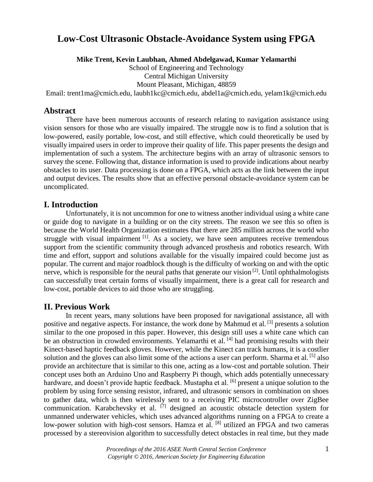# **Low-Cost Ultrasonic Obstacle-Avoidance System using FPGA**

**Mike Trent, Kevin Laubhan, Ahmed Abdelgawad, Kumar Yelamarthi**

School of Engineering and Technology Central Michigan University Mount Pleasant, Michigan, 48859

Email: trent1ma@cmich.edu, laubh1kc@cmich.edu, abdel1a@cmich.edu, yelam1k@cmich.edu

## **Abstract**

There have been numerous accounts of research relating to navigation assistance using vision sensors for those who are visually impaired. The struggle now is to find a solution that is low-powered, easily portable, low-cost, and still effective, which could theoretically be used by visually impaired users in order to improve their quality of life. This paper presents the design and implementation of such a system. The architecture begins with an array of ultrasonic sensors to survey the scene. Following that, distance information is used to provide indications about nearby obstacles to its user. Data processing is done on a FPGA, which acts as the link between the input and output devices. The results show that an effective personal obstacle-avoidance system can be uncomplicated.

# **I. Introduction**

Unfortunately, it is not uncommon for one to witness another individual using a white cane or guide dog to navigate in a building or on the city streets. The reason we see this so often is because the World Health Organization estimates that there are 285 million across the world who struggle with visual impairment  $\left[1\right]$ . As a society, we have seen amputees receive tremendous support from the scientific community through advanced prosthesis and robotics research. With time and effort, support and solutions available for the visually impaired could become just as popular. The current and major roadblock though is the difficulty of working on and with the optic nerve, which is responsible for the neural paths that generate our vision  $[2]$ . Until ophthalmologists can successfully treat certain forms of visually impairment, there is a great call for research and low-cost, portable devices to aid those who are struggling.

## **II. Previous Work**

In recent years, many solutions have been proposed for navigational assistance, all with positive and negative aspects. For instance, the work done by Mahmud et al. [3] presents a solution similar to the one proposed in this paper. However, this design still uses a white cane which can be an obstruction in crowded environments. Yelamarthi et al.  $^{[4]}$  had promising results with their Kinect-based haptic feedback gloves. However, while the Kinect can track humans, it is a costlier solution and the gloves can also limit some of the actions a user can perform. Sharma et al.  $[5]$  also provide an architecture that is similar to this one, acting as a low-cost and portable solution. Their concept uses both an Arduino Uno and Raspberry Pi though, which adds potentially unnecessary hardware, and doesn't provide haptic feedback. Mustapha et al. <sup>[6]</sup> present a unique solution to the problem by using force sensing resistor, infrared, and ultrasonic sensors in combination on shoes to gather data, which is then wirelessly sent to a receiving PIC microcontroller over ZigBee communication. Karabchevsky et al.  $^{[7]}$  designed an acoustic obstacle detection system for unmanned underwater vehicles, which uses advanced algorithms running on a FPGA to create a low-power solution with high-cost sensors. Hamza et al. <sup>[8]</sup> utilized an FPGA and two cameras processed by a stereovision algorithm to successfully detect obstacles in real time, but they made

> *Proceedings of the 2016 ASEE North Central Section Conference* 1 *Copyright © 2016, American Society for Engineering Education*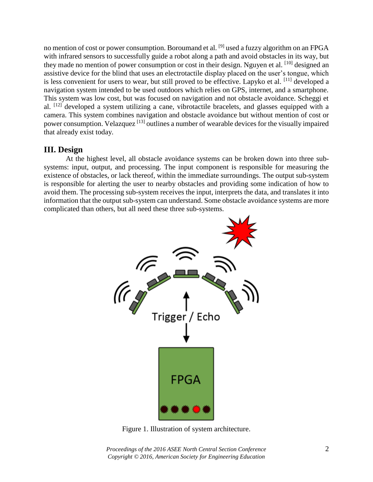no mention of cost or power consumption. Boroumand et al. <sup>[9]</sup> used a fuzzy algorithm on an FPGA with infrared sensors to successfully guide a robot along a path and avoid obstacles in its way, but they made no mention of power consumption or cost in their design. Nguyen et al. [10] designed an assistive device for the blind that uses an electrotactile display placed on the user's tongue, which is less convenient for users to wear, but still proved to be effective. Lapyko et al. [11] developed a navigation system intended to be used outdoors which relies on GPS, internet, and a smartphone. This system was low cost, but was focused on navigation and not obstacle avoidance. Scheggi et al. [12] developed a system utilizing a cane, vibrotactile bracelets, and glasses equipped with a camera. This system combines navigation and obstacle avoidance but without mention of cost or power consumption. Velazquez [13] outlines a number of wearable devices for the visually impaired that already exist today.

# **III. Design**

At the highest level, all obstacle avoidance systems can be broken down into three subsystems: input, output, and processing. The input component is responsible for measuring the existence of obstacles, or lack thereof, within the immediate surroundings. The output sub-system is responsible for alerting the user to nearby obstacles and providing some indication of how to avoid them. The processing sub-system receives the input, interprets the data, and translates it into information that the output sub-system can understand. Some obstacle avoidance systems are more complicated than others, but all need these three sub-systems.



Figure 1. Illustration of system architecture.

*Proceedings of the 2016 ASEE North Central Section Conference* 2 *Copyright © 2016, American Society for Engineering Education*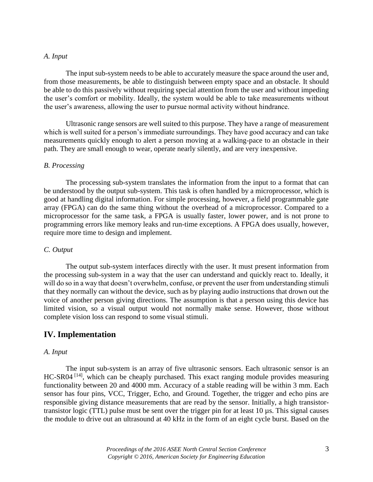### *A. Input*

The input sub-system needs to be able to accurately measure the space around the user and, from those measurements, be able to distinguish between empty space and an obstacle. It should be able to do this passively without requiring special attention from the user and without impeding the user's comfort or mobility. Ideally, the system would be able to take measurements without the user's awareness, allowing the user to pursue normal activity without hindrance.

Ultrasonic range sensors are well suited to this purpose. They have a range of measurement which is well suited for a person's immediate surroundings. They have good accuracy and can take measurements quickly enough to alert a person moving at a walking-pace to an obstacle in their path. They are small enough to wear, operate nearly silently, and are very inexpensive.

#### *B. Processing*

The processing sub-system translates the information from the input to a format that can be understood by the output sub-system. This task is often handled by a microprocessor, which is good at handling digital information. For simple processing, however, a field programmable gate array (FPGA) can do the same thing without the overhead of a microprocessor. Compared to a microprocessor for the same task, a FPGA is usually faster, lower power, and is not prone to programming errors like memory leaks and run-time exceptions. A FPGA does usually, however, require more time to design and implement.

#### *C. Output*

The output sub-system interfaces directly with the user. It must present information from the processing sub-system in a way that the user can understand and quickly react to. Ideally, it will do so in a way that doesn't overwhelm, confuse, or prevent the user from understanding stimuli that they normally can without the device, such as by playing audio instructions that drown out the voice of another person giving directions. The assumption is that a person using this device has limited vision, so a visual output would not normally make sense. However, those without complete vision loss can respond to some visual stimuli.

## **IV. Implementation**

#### *A. Input*

The input sub-system is an array of five ultrasonic sensors. Each ultrasonic sensor is an HC-SR04<sup>[14]</sup>, which can be cheaply purchased. This exact ranging module provides measuring functionality between 20 and 4000 mm. Accuracy of a stable reading will be within 3 mm. Each sensor has four pins, VCC, Trigger, Echo, and Ground. Together, the trigger and echo pins are responsible giving distance measurements that are read by the sensor. Initially, a high transistortransistor logic (TTL) pulse must be sent over the trigger pin for at least 10 µs. This signal causes the module to drive out an ultrasound at 40 kHz in the form of an eight cycle burst. Based on the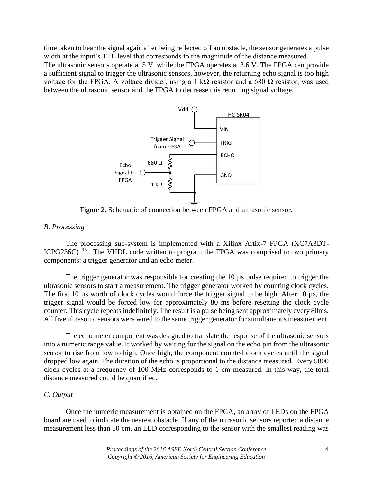time taken to hear the signal again after being reflected off an obstacle, the sensor generates a pulse width at the input's TTL level that corresponds to the magnitude of the distance measured.

The ultrasonic sensors operate at 5 V, while the FPGA operates at 3.6 V. The FPGA can provide a sufficient signal to trigger the ultrasonic sensors, however, the returning echo signal is too high voltage for the FPGA. A voltage divider, using a 1 kΩ resistor and a 680 Ω resistor, was used between the ultrasonic sensor and the FPGA to decrease this returning signal voltage.



Figure 2. Schematic of connection between FPGA and ultrasonic sensor.

#### *B. Processing*

The processing sub-system is implemented with a Xilinx Artix-7 FPGA (XC7A3DT-ICPG236C)<sup>[15]</sup>. The VHDL code written to program the FPGA was comprised to two primary components: a trigger generator and an echo meter.

The trigger generator was responsible for creating the 10 µs pulse required to trigger the ultrasonic sensors to start a measurement. The trigger generator worked by counting clock cycles. The first 10 µs worth of clock cycles would force the trigger signal to be high. After 10 µs, the trigger signal would be forced low for approximately 80 ms before resetting the clock cycle counter. This cycle repeats indefinitely. The result is a pulse being sent approximately every 80ms. All five ultrasonic sensors were wired to the same trigger generator for simultaneous measurement.

The echo meter component was designed to translate the response of the ultrasonic sensors into a numeric range value. It worked by waiting for the signal on the echo pin from the ultrasonic sensor to rise from low to high. Once high, the component counted clock cycles until the signal dropped low again. The duration of the echo is proportional to the distance measured. Every 5800 clock cycles at a frequency of 100 MHz corresponds to 1 cm measured. In this way, the total distance measured could be quantified.

### *C. Output*

Once the numeric measurement is obtained on the FPGA, an array of LEDs on the FPGA board are used to indicate the nearest obstacle. If any of the ultrasonic sensors reported a distance measurement less than 50 cm, an LED corresponding to the sensor with the smallest reading was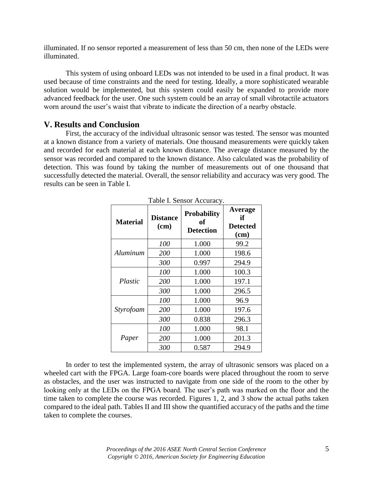illuminated. If no sensor reported a measurement of less than 50 cm, then none of the LEDs were illuminated.

This system of using onboard LEDs was not intended to be used in a final product. It was used because of time constraints and the need for testing. Ideally, a more sophisticated wearable solution would be implemented, but this system could easily be expanded to provide more advanced feedback for the user. One such system could be an array of small vibrotactile actuators worn around the user's waist that vibrate to indicate the direction of a nearby obstacle.

### **V. Results and Conclusion**

First, the accuracy of the individual ultrasonic sensor was tested. The sensor was mounted at a known distance from a variety of materials. One thousand measurements were quickly taken and recorded for each material at each known distance. The average distance measured by the sensor was recorded and compared to the known distance. Also calculated was the probability of detection. This was found by taking the number of measurements out of one thousand that successfully detected the material. Overall, the sensor reliability and accuracy was very good. The results can be seen in Table I.

| <b>Material</b> | <b>Distance</b><br>(cm) | <b>Probability</b><br>of<br><b>Detection</b> | Average<br>if<br><b>Detected</b><br>$(cm)$ |
|-----------------|-------------------------|----------------------------------------------|--------------------------------------------|
|                 | 100                     | 1.000                                        | 99.2                                       |
| Aluminum        | 200                     | 1.000                                        | 198.6                                      |
|                 | 300                     | 0.997                                        | 294.9                                      |
|                 | <i>100</i>              | 1.000                                        | 100.3                                      |
| Plastic         | 200                     | 1.000                                        | 197.1                                      |
|                 | 300                     | 1.000                                        | 296.5                                      |
|                 | 100                     | 1.000                                        | 96.9                                       |
| Styrofoam       | 200                     | 1.000                                        | 197.6                                      |
|                 | 300                     | 0.838                                        | 296.3                                      |
|                 | 100                     | 1.000                                        | 98.1                                       |
| Paper           | 200                     | 1.000                                        | 201.3                                      |
|                 | 300                     | 0.587                                        | 294.9                                      |

|  | Table I. Sensor Accuracy. |
|--|---------------------------|
|  |                           |

In order to test the implemented system, the array of ultrasonic sensors was placed on a wheeled cart with the FPGA. Large foam-core boards were placed throughout the room to serve as obstacles, and the user was instructed to navigate from one side of the room to the other by looking only at the LEDs on the FPGA board. The user's path was marked on the floor and the time taken to complete the course was recorded. Figures 1, 2, and 3 show the actual paths taken compared to the ideal path. Tables II and III show the quantified accuracy of the paths and the time taken to complete the courses.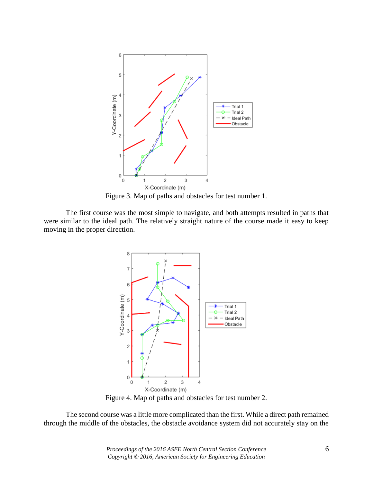

Figure 3. Map of paths and obstacles for test number 1.

The first course was the most simple to navigate, and both attempts resulted in paths that were similar to the ideal path. The relatively straight nature of the course made it easy to keep moving in the proper direction.



Figure 4. Map of paths and obstacles for test number 2.

The second course was a little more complicated than the first. While a direct path remained through the middle of the obstacles, the obstacle avoidance system did not accurately stay on the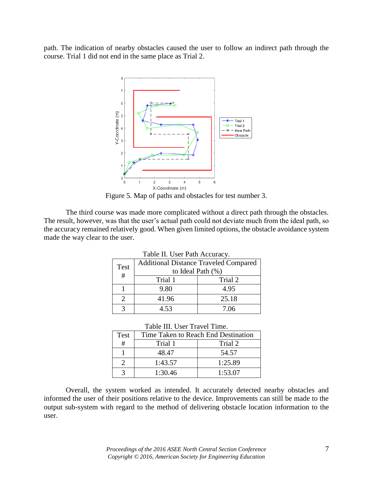path. The indication of nearby obstacles caused the user to follow an indirect path through the course. Trial 1 did not end in the same place as Trial 2.



Figure 5. Map of paths and obstacles for test number 3.

The third course was made more complicated without a direct path through the obstacles. The result, however, was that the user's actual path could not deviate much from the ideal path, so the accuracy remained relatively good. When given limited options, the obstacle avoidance system made the way clear to the user.

| Table II. Osci i alli Accuiac y. |                                              |         |  |
|----------------------------------|----------------------------------------------|---------|--|
| Test                             | <b>Additional Distance Traveled Compared</b> |         |  |
| #                                | to Ideal Path $(\%)$                         |         |  |
|                                  | Trial 1                                      | Trial 2 |  |
|                                  | 9.80                                         | 4.95    |  |
|                                  | 41.96                                        | 25.18   |  |
|                                  | 4.53                                         | 7.06    |  |

|  |  |  | Table II. User Path Accuracy. |
|--|--|--|-------------------------------|
|--|--|--|-------------------------------|

| Table III. User Travel Time. |  |
|------------------------------|--|
|------------------------------|--|

| Test | Time Taken to Reach End Destination |         |
|------|-------------------------------------|---------|
| #    | Trial 1                             | Trial 2 |
|      | 48.47                               | 54.57   |
|      | 1:43.57                             | 1:25.89 |
| っ    | 1:30.46                             | 1:53.07 |

Overall, the system worked as intended. It accurately detected nearby obstacles and informed the user of their positions relative to the device. Improvements can still be made to the output sub-system with regard to the method of delivering obstacle location information to the user.